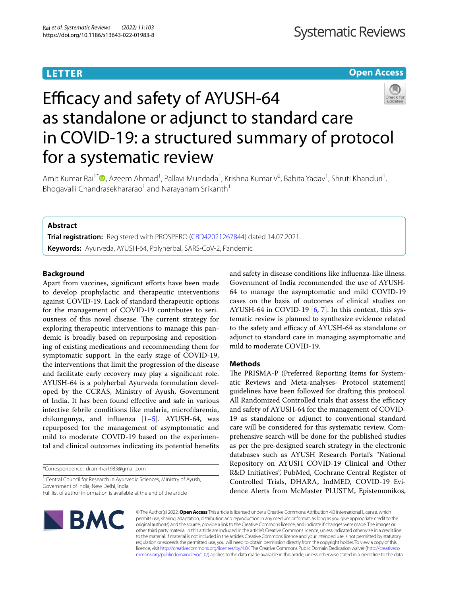# **LETTER**

# **Open Access**



# Efficacy and safety of AYUSH-64 as standalone or adjunct to standard care in COVID-19: a structured summary of protocol for a systematic review

Amit Kumar Rai<sup>1[\\*](http://orcid.org/0000-0002-2798-5933)</sup> <sup>(D</sup>, Azeem Ahmad<sup>1</sup>, Pallavi Mundada<sup>1</sup>, Krishna Kumar V<sup>2</sup>, Babita Yadav<sup>1</sup>, Shruti Khanduri<sup>1</sup>, Bhogavalli Chandrasekhararao<sup>1</sup> and Narayanam Srikanth<sup>1</sup>

# **Abstract**

**Trial registration:** Registered with PROSPERO ([CRD42021267844\)](https://www.crd.york.ac.uk/prospero/display_record.php?RecordID=267844) dated 14.07.2021. **Keywords:** Ayurveda, AYUSH-64, Polyherbal, SARS-CoV-2, Pandemic

# **Background**

Apart from vaccines, significant efforts have been made to develop prophylactic and therapeutic interventions against COVID-19. Lack of standard therapeutic options for the management of COVID-19 contributes to seriousness of this novel disease. The current strategy for exploring therapeutic interventions to manage this pandemic is broadly based on repurposing and repositioning of existing medications and recommending them for symptomatic support. In the early stage of COVID-19, the interventions that limit the progression of the disease and facilitate early recovery may play a signifcant role. AYUSH-64 is a polyherbal Ayurveda formulation developed by the CCRAS, Ministry of Ayush, Government of India. It has been found efective and safe in various infective febrile conditions like malaria, microflaremia, chikungunya, and infuenza [[1–](#page-1-0)[5](#page-1-1)]. AYUSH-64, was repurposed for the management of asymptomatic and mild to moderate COVID-19 based on the experimental and clinical outcomes indicating its potential benefts

\*Correspondence: dr.amitrai1983@gmail.com

<sup>1</sup> Central Council for Research in Ayurvedic Sciences, Ministry of Ayush, Government of India, New Delhi, India

and safety in disease conditions like infuenza-like illness. Government of India recommended the use of AYUSH-64 to manage the asymptomatic and mild COVID-19 cases on the basis of outcomes of clinical studies on AYUSH-64 in COVID-19  $[6, 7]$  $[6, 7]$  $[6, 7]$ . In this context, this systematic review is planned to synthesize evidence related to the safety and efficacy of AYUSH-64 as standalone or adjunct to standard care in managing asymptomatic and mild to moderate COVID-19.

# **Methods**

The PRISMA-P (Preferred Reporting Items for Systematic Reviews and Meta-analyses- Protocol statement) guidelines have been followed for drafting this protocol. All Randomized Controlled trials that assess the efficacy and safety of AYUSH-64 for the management of COVID-19 as standalone or adjunct to conventional standard care will be considered for this systematic review. Comprehensive search will be done for the published studies as per the pre-designed search strategy in the electronic databases such as AYUSH Research Portal's "National Repository on AYUSH COVID-19 Clinical and Other R&D Initiatives", PubMed, Cochrane Central Register of Controlled Trials, DHARA, IndMED, COVID-19 Evidence Alerts from McMaster PLUSTM, Epistemonikos,



© The Author(s) 2022. **Open Access** This article is licensed under a Creative Commons Attribution 4.0 International License, which permits use, sharing, adaptation, distribution and reproduction in any medium or format, as long as you give appropriate credit to the original author(s) and the source, provide a link to the Creative Commons licence, and indicate if changes were made. The images or other third party material in this article are included in the article's Creative Commons licence, unless indicated otherwise in a credit line to the material. If material is not included in the article's Creative Commons licence and your intended use is not permitted by statutory regulation or exceeds the permitted use, you will need to obtain permission directly from the copyright holder. To view a copy of this licence, visit [http://creativecommons.org/licenses/by/4.0/.](http://creativecommons.org/licenses/by/4.0/) The Creative Commons Public Domain Dedication waiver ([http://creativeco](http://creativecommons.org/publicdomain/zero/1.0/) [mmons.org/publicdomain/zero/1.0/](http://creativecommons.org/publicdomain/zero/1.0/)) applies to the data made available in this article, unless otherwise stated in a credit line to the data.

Full list of author information is available at the end of the article